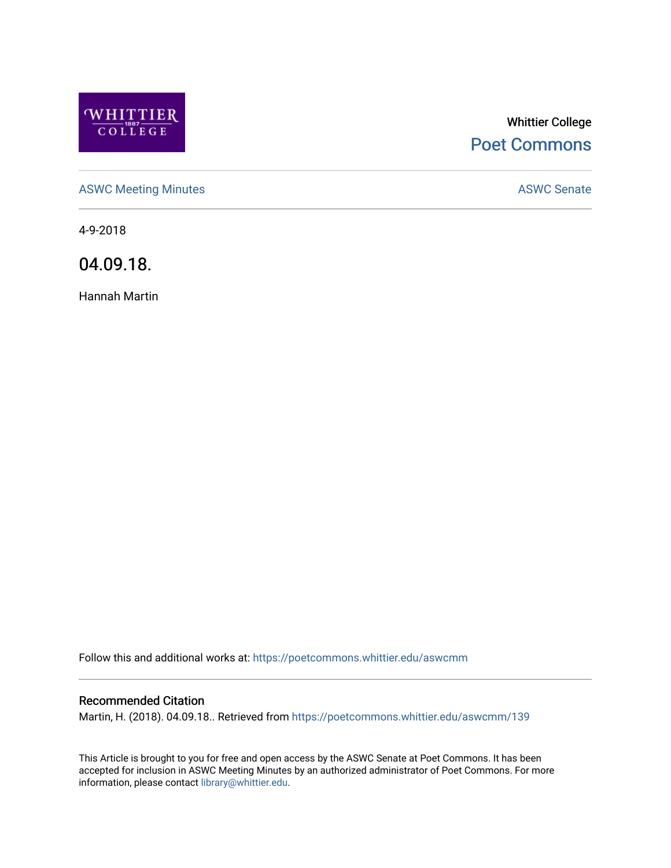

# Whittier College [Poet Commons](https://poetcommons.whittier.edu/)

[ASWC Meeting Minutes](https://poetcommons.whittier.edu/aswcmm) **ASWC Senate** 

4-9-2018

04.09.18.

Hannah Martin

Follow this and additional works at: [https://poetcommons.whittier.edu/aswcmm](https://poetcommons.whittier.edu/aswcmm?utm_source=poetcommons.whittier.edu%2Faswcmm%2F139&utm_medium=PDF&utm_campaign=PDFCoverPages)

#### Recommended Citation

Martin, H. (2018). 04.09.18.. Retrieved from [https://poetcommons.whittier.edu/aswcmm/139](https://poetcommons.whittier.edu/aswcmm/139?utm_source=poetcommons.whittier.edu%2Faswcmm%2F139&utm_medium=PDF&utm_campaign=PDFCoverPages) 

This Article is brought to you for free and open access by the ASWC Senate at Poet Commons. It has been accepted for inclusion in ASWC Meeting Minutes by an authorized administrator of Poet Commons. For more information, please contact [library@whittier.edu.](mailto:library@whittier.edu)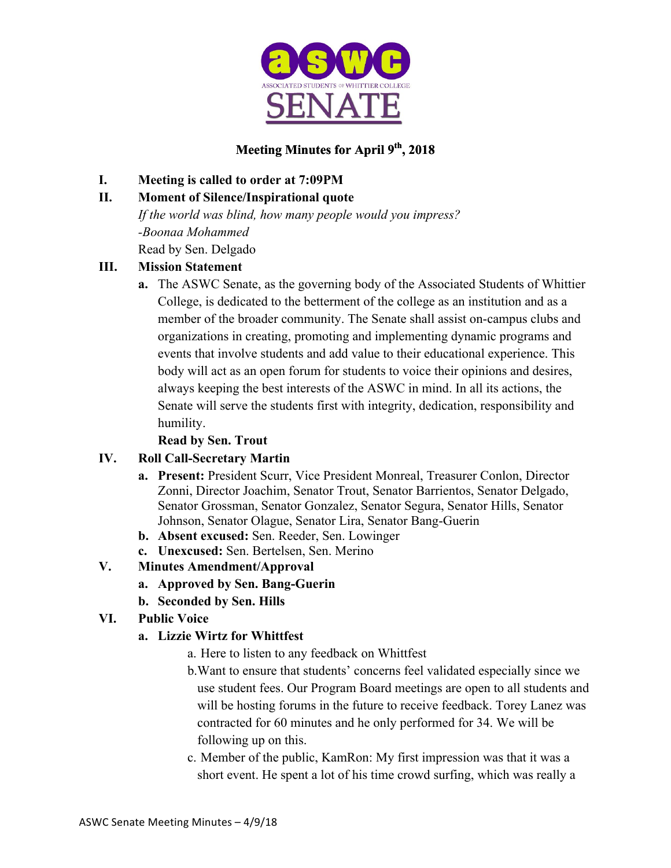

## **Meeting Minutes for April 9th, 2018**

#### **I. Meeting is called to order at 7:09PM**

### **II. Moment of Silence/Inspirational quote**

*If the world was blind, how many people would you impress? -Boonaa Mohammed* Read by Sen. Delgado

## **III. Mission Statement**

**a.** The ASWC Senate, as the governing body of the Associated Students of Whittier College, is dedicated to the betterment of the college as an institution and as a member of the broader community. The Senate shall assist on-campus clubs and organizations in creating, promoting and implementing dynamic programs and events that involve students and add value to their educational experience. This body will act as an open forum for students to voice their opinions and desires, always keeping the best interests of the ASWC in mind. In all its actions, the Senate will serve the students first with integrity, dedication, responsibility and humility.

#### **Read by Sen. Trout**

#### **IV. Roll Call-Secretary Martin**

- **a. Present:** President Scurr, Vice President Monreal, Treasurer Conlon, Director Zonni, Director Joachim, Senator Trout, Senator Barrientos, Senator Delgado, Senator Grossman, Senator Gonzalez, Senator Segura, Senator Hills, Senator Johnson, Senator Olague, Senator Lira, Senator Bang-Guerin
- **b. Absent excused:** Sen. Reeder, Sen. Lowinger
- **c. Unexcused:** Sen. Bertelsen, Sen. Merino

## **V. Minutes Amendment/Approval**

- **a. Approved by Sen. Bang-Guerin**
- **b. Seconded by Sen. Hills**

## **VI. Public Voice**

#### **a. Lizzie Wirtz for Whittfest**

- a. Here to listen to any feedback on Whittfest
- b.Want to ensure that students' concerns feel validated especially since we use student fees. Our Program Board meetings are open to all students and will be hosting forums in the future to receive feedback. Torey Lanez was contracted for 60 minutes and he only performed for 34. We will be following up on this.
- c. Member of the public, KamRon: My first impression was that it was a short event. He spent a lot of his time crowd surfing, which was really a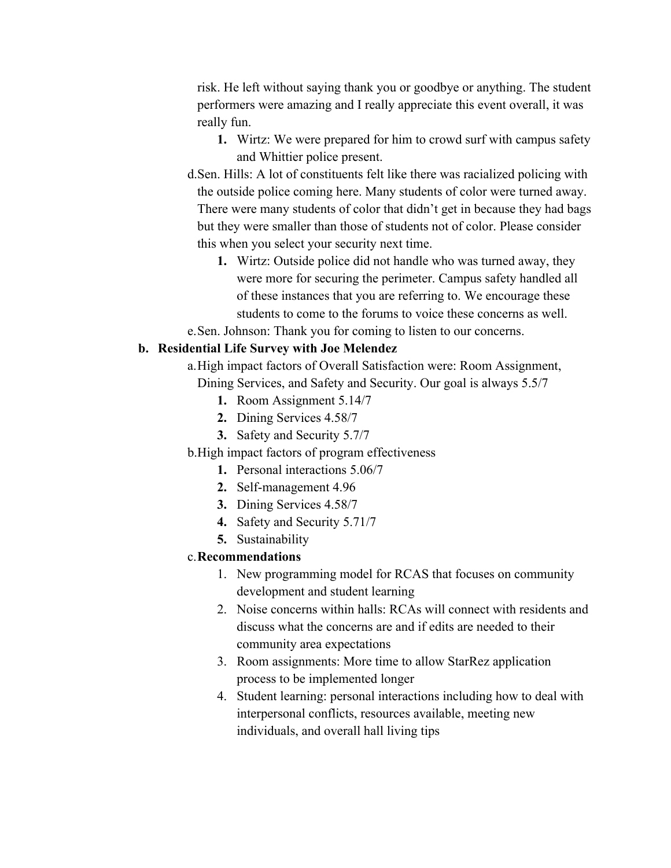risk. He left without saying thank you or goodbye or anything. The student performers were amazing and I really appreciate this event overall, it was really fun.

- **1.** Wirtz: We were prepared for him to crowd surf with campus safety and Whittier police present.
- d.Sen. Hills: A lot of constituents felt like there was racialized policing with the outside police coming here. Many students of color were turned away. There were many students of color that didn't get in because they had bags but they were smaller than those of students not of color. Please consider this when you select your security next time.
	- **1.** Wirtz: Outside police did not handle who was turned away, they were more for securing the perimeter. Campus safety handled all of these instances that you are referring to. We encourage these students to come to the forums to voice these concerns as well.
- e.Sen. Johnson: Thank you for coming to listen to our concerns.

#### **b. Residential Life Survey with Joe Melendez**

a.High impact factors of Overall Satisfaction were: Room Assignment, Dining Services, and Safety and Security. Our goal is always 5.5/7

- **1.** Room Assignment 5.14/7
- **2.** Dining Services 4.58/7
- **3.** Safety and Security 5.7/7
- b.High impact factors of program effectiveness
	- **1.** Personal interactions 5.06/7
	- **2.** Self-management 4.96
	- **3.** Dining Services 4.58/7
	- **4.** Safety and Security 5.71/7
	- **5.** Sustainability

#### c.**Recommendations**

- 1. New programming model for RCAS that focuses on community development and student learning
- 2. Noise concerns within halls: RCAs will connect with residents and discuss what the concerns are and if edits are needed to their community area expectations
- 3. Room assignments: More time to allow StarRez application process to be implemented longer
- 4. Student learning: personal interactions including how to deal with interpersonal conflicts, resources available, meeting new individuals, and overall hall living tips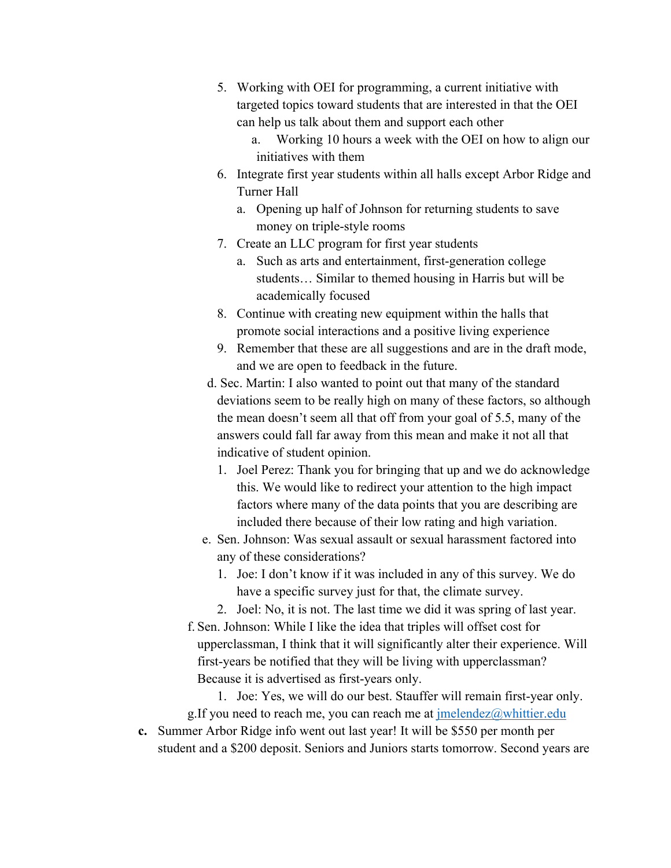- 5. Working with OEI for programming, a current initiative with targeted topics toward students that are interested in that the OEI can help us talk about them and support each other
	- a. Working 10 hours a week with the OEI on how to align our initiatives with them
- 6. Integrate first year students within all halls except Arbor Ridge and Turner Hall
	- a. Opening up half of Johnson for returning students to save money on triple-style rooms
- 7. Create an LLC program for first year students
	- a. Such as arts and entertainment, first-generation college students… Similar to themed housing in Harris but will be academically focused
- 8. Continue with creating new equipment within the halls that promote social interactions and a positive living experience
- 9. Remember that these are all suggestions and are in the draft mode, and we are open to feedback in the future.
- d. Sec. Martin: I also wanted to point out that many of the standard deviations seem to be really high on many of these factors, so although the mean doesn't seem all that off from your goal of 5.5, many of the answers could fall far away from this mean and make it not all that indicative of student opinion.
	- 1. Joel Perez: Thank you for bringing that up and we do acknowledge this. We would like to redirect your attention to the high impact factors where many of the data points that you are describing are included there because of their low rating and high variation.
- e. Sen. Johnson: Was sexual assault or sexual harassment factored into any of these considerations?
	- 1. Joe: I don't know if it was included in any of this survey. We do have a specific survey just for that, the climate survey.
	- 2. Joel: No, it is not. The last time we did it was spring of last year.
- f. Sen. Johnson: While I like the idea that triples will offset cost for upperclassman, I think that it will significantly alter their experience. Will first-years be notified that they will be living with upperclassman? Because it is advertised as first-years only.
- 1. Joe: Yes, we will do our best. Stauffer will remain first-year only. g.If you need to reach me, you can reach me at  $\imath$  melendez@whittier.edu
- **c.** Summer Arbor Ridge info went out last year! It will be \$550 per month per student and a \$200 deposit. Seniors and Juniors starts tomorrow. Second years are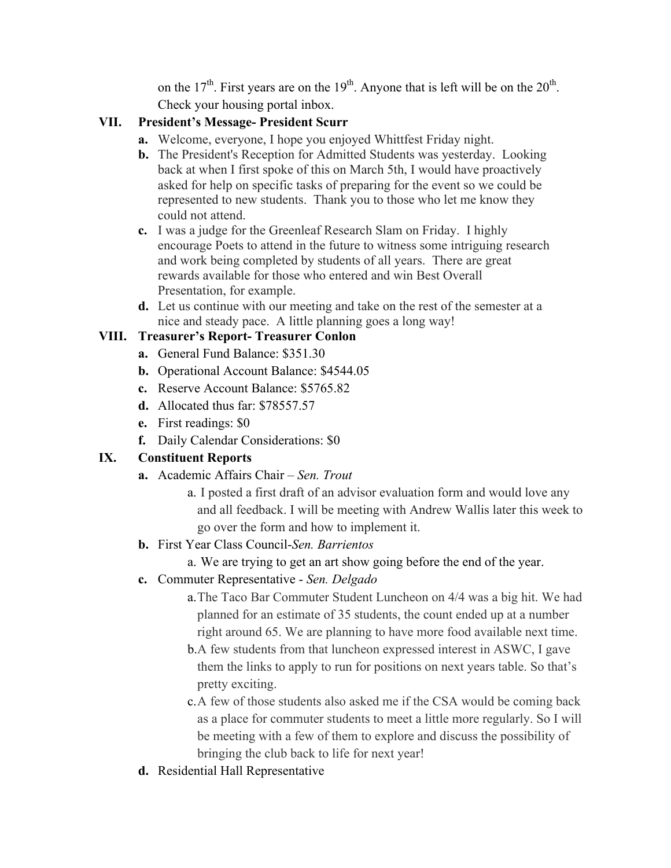on the  $17<sup>th</sup>$ . First years are on the  $19<sup>th</sup>$ . Anyone that is left will be on the  $20<sup>th</sup>$ . Check your housing portal inbox.

### **VII. President's Message- President Scurr**

- **a.** Welcome, everyone, I hope you enjoyed Whittfest Friday night.
- **b.** The President's Reception for Admitted Students was yesterday. Looking back at when I first spoke of this on March 5th, I would have proactively asked for help on specific tasks of preparing for the event so we could be represented to new students. Thank you to those who let me know they could not attend.
- **c.** I was a judge for the Greenleaf Research Slam on Friday. I highly encourage Poets to attend in the future to witness some intriguing research and work being completed by students of all years. There are great rewards available for those who entered and win Best Overall Presentation, for example.
- **d.** Let us continue with our meeting and take on the rest of the semester at a nice and steady pace. A little planning goes a long way!

### **VIII. Treasurer's Report- Treasurer Conlon**

- **a.** General Fund Balance: \$351.30
- **b.** Operational Account Balance: \$4544.05
- **c.** Reserve Account Balance: \$5765.82
- **d.** Allocated thus far: \$78557.57
- **e.** First readings: \$0
- **f.** Daily Calendar Considerations: \$0

## **IX. Constituent Reports**

- **a.** Academic Affairs Chair *Sen. Trout*
	- a. I posted a first draft of an advisor evaluation form and would love any and all feedback. I will be meeting with Andrew Wallis later this week to go over the form and how to implement it.
- **b.** First Year Class Council-*Sen. Barrientos*
	- a. We are trying to get an art show going before the end of the year.
- **c.** Commuter Representative *Sen. Delgado*
	- a.The Taco Bar Commuter Student Luncheon on 4/4 was a big hit. We had planned for an estimate of 35 students, the count ended up at a number right around 65. We are planning to have more food available next time.
	- b.A few students from that luncheon expressed interest in ASWC, I gave them the links to apply to run for positions on next years table. So that's pretty exciting.
	- c.A few of those students also asked me if the CSA would be coming back as a place for commuter students to meet a little more regularly. So I will be meeting with a few of them to explore and discuss the possibility of bringing the club back to life for next year!
- **d.** Residential Hall Representative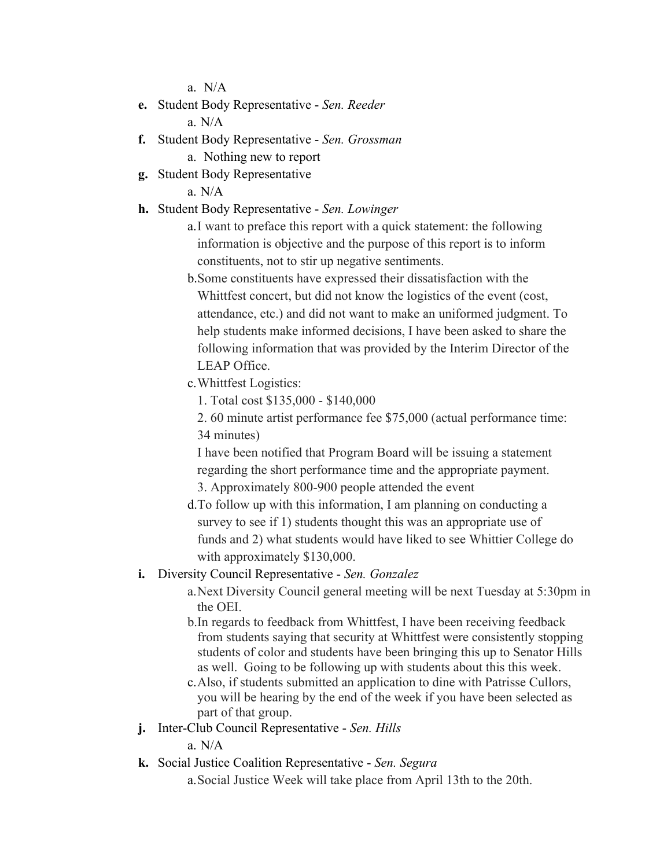a.N/A

- **e.** Student Body Representative *Sen. Reeder* a. N/A
- **f.** Student Body Representative *Sen. Grossman*
	- a. Nothing new to report
- **g.** Student Body Representative

a. N/A

- **h.** Student Body Representative *Sen. Lowinger*
	- a.I want to preface this report with a quick statement: the following information is objective and the purpose of this report is to inform constituents, not to stir up negative sentiments.
	- b.Some constituents have expressed their dissatisfaction with the Whittfest concert, but did not know the logistics of the event (cost, attendance, etc.) and did not want to make an uniformed judgment. To help students make informed decisions, I have been asked to share the following information that was provided by the Interim Director of the LEAP Office.
	- c.Whittfest Logistics:
		- 1. Total cost \$135,000 \$140,000
		- 2. 60 minute artist performance fee \$75,000 (actual performance time: 34 minutes)

I have been notified that Program Board will be issuing a statement regarding the short performance time and the appropriate payment. 3. Approximately 800-900 people attended the event

- d.To follow up with this information, I am planning on conducting a survey to see if 1) students thought this was an appropriate use of funds and 2) what students would have liked to see Whittier College do with approximately \$130,000.
- **i.** Diversity Council Representative *Sen. Gonzalez*
	- a.Next Diversity Council general meeting will be next Tuesday at 5:30pm in the OEI.
	- b.In regards to feedback from Whittfest, I have been receiving feedback from students saying that security at Whittfest were consistently stopping students of color and students have been bringing this up to Senator Hills as well. Going to be following up with students about this this week.
	- c.Also, if students submitted an application to dine with Patrisse Cullors, you will be hearing by the end of the week if you have been selected as part of that group.
- **j.** Inter-Club Council Representative *Sen. Hills*

a. N/A

**k.** Social Justice Coalition Representative - *Sen. Segura*

a.Social Justice Week will take place from April 13th to the 20th.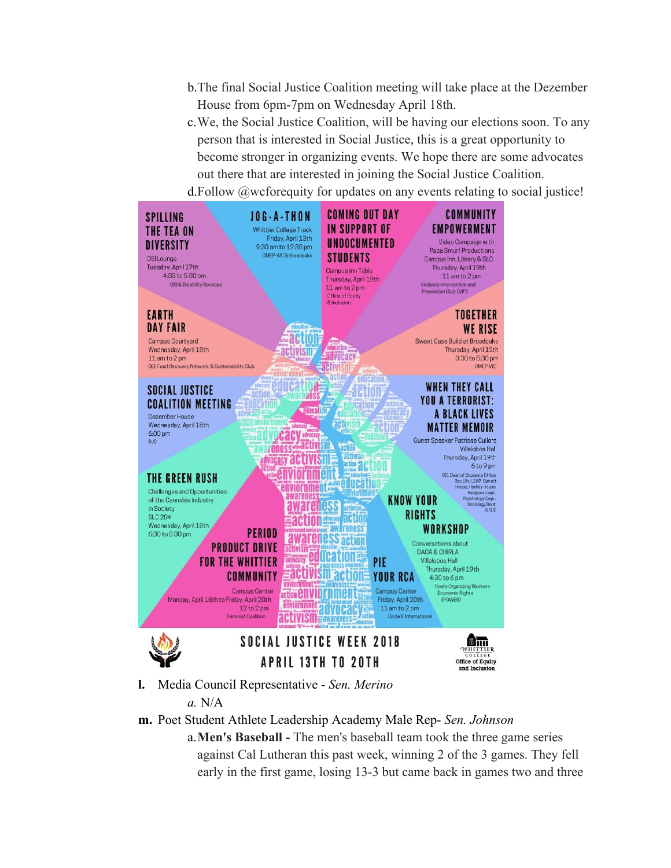- b.The final Social Justice Coalition meeting will take place at the Dezember House from 6pm-7pm on Wednesday April 18th.
- c.We, the Social Justice Coalition, will be having our elections soon. To any person that is interested in Social Justice, this is a great opportunity to become stronger in organizing events. We hope there are some advocates out there that are interested in joining the Social Justice Coalition. d.Follow @wcforequity for updates on any events relating to social justice!



- *a.* N/A
- **m.** Poet Student Athlete Leadership Academy Male Rep- *Sen. Johnson*
	- a.**Men's Baseball -** The men's baseball team took the three game series against Cal Lutheran this past week, winning 2 of the 3 games. They fell early in the first game, losing 13-3 but came back in games two and three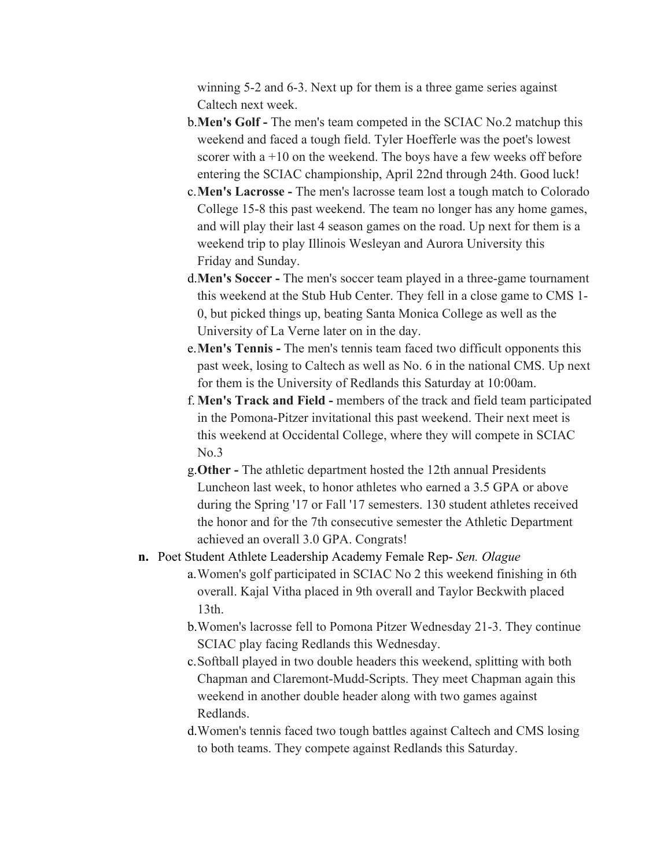winning 5-2 and 6-3. Next up for them is a three game series against Caltech next week.

- b.**Men's Golf -** The men's team competed in the SCIAC No.2 matchup this weekend and faced a tough field. Tyler Hoefferle was the poet's lowest scorer with  $a + 10$  on the weekend. The boys have a few weeks off before entering the SCIAC championship, April 22nd through 24th. Good luck!
- c.**Men's Lacrosse -** The men's lacrosse team lost a tough match to Colorado College 15-8 this past weekend. The team no longer has any home games, and will play their last 4 season games on the road. Up next for them is a weekend trip to play Illinois Wesleyan and Aurora University this Friday and Sunday.
- d.**Men's Soccer -** The men's soccer team played in a three-game tournament this weekend at the Stub Hub Center. They fell in a close game to CMS 1- 0, but picked things up, beating Santa Monica College as well as the University of La Verne later on in the day.
- e.**Men's Tennis -** The men's tennis team faced two difficult opponents this past week, losing to Caltech as well as No. 6 in the national CMS. Up next for them is the University of Redlands this Saturday at 10:00am.
- f. **Men's Track and Field -** members of the track and field team participated in the Pomona-Pitzer invitational this past weekend. Their next meet is this weekend at Occidental College, where they will compete in SCIAC No.3
- g.**Other -** The athletic department hosted the 12th annual Presidents Luncheon last week, to honor athletes who earned a 3.5 GPA or above during the Spring '17 or Fall '17 semesters. 130 student athletes received the honor and for the 7th consecutive semester the Athletic Department achieved an overall 3.0 GPA. Congrats!
- **n.** Poet Student Athlete Leadership Academy Female Rep- *Sen. Olague*
	- a.Women's golf participated in SCIAC No 2 this weekend finishing in 6th overall. Kajal Vitha placed in 9th overall and Taylor Beckwith placed 13th.
	- b.Women's lacrosse fell to Pomona Pitzer Wednesday 21-3. They continue SCIAC play facing Redlands this Wednesday.
	- c.Softball played in two double headers this weekend, splitting with both Chapman and Claremont-Mudd-Scripts. They meet Chapman again this weekend in another double header along with two games against Redlands.
	- d.Women's tennis faced two tough battles against Caltech and CMS losing to both teams. They compete against Redlands this Saturday.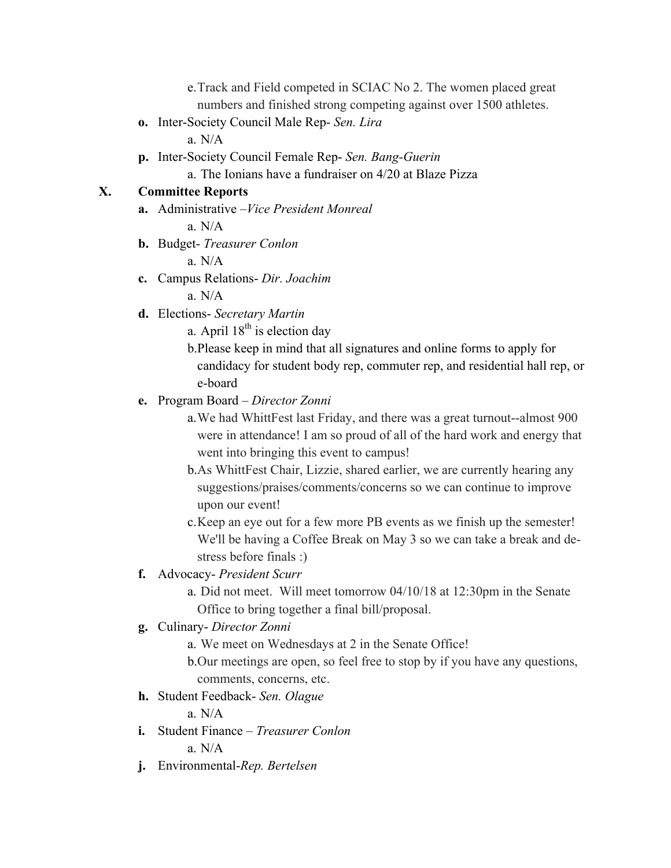e.Track and Field competed in SCIAC No 2. The women placed great numbers and finished strong competing against over 1500 athletes.

**o.** Inter-Society Council Male Rep- *Sen. Lira*

a. N/A

**p.** Inter-Society Council Female Rep- *Sen. Bang-Guerin*

a. The Ionians have a fundraiser on 4/20 at Blaze Pizza

#### **X. Committee Reports**

**a.** Administrative –*Vice President Monreal*

a. N/A

**b.** Budget- *Treasurer Conlon*

a. N/A

**c.** Campus Relations- *Dir. Joachim*

a. N/A

- **d.** Elections- *Secretary Martin*
	- a. April  $18^{th}$  is election day
	- b.Please keep in mind that all signatures and online forms to apply for candidacy for student body rep, commuter rep, and residential hall rep, or e-board
- **e.** Program Board *Director Zonni*
	- a.We had WhittFest last Friday, and there was a great turnout--almost 900 were in attendance! I am so proud of all of the hard work and energy that went into bringing this event to campus!
	- b.As WhittFest Chair, Lizzie, shared earlier, we are currently hearing any suggestions/praises/comments/concerns so we can continue to improve upon our event!
	- c.Keep an eye out for a few more PB events as we finish up the semester! We'll be having a Coffee Break on May 3 so we can take a break and destress before finals :)

#### **f.** Advocacy- *President Scurr*

- a. Did not meet. Will meet tomorrow 04/10/18 at 12:30pm in the Senate Office to bring together a final bill/proposal.
- **g.** Culinary- *Director Zonni*
	- a. We meet on Wednesdays at 2 in the Senate Office!
	- b.Our meetings are open, so feel free to stop by if you have any questions, comments, concerns, etc.
- **h.** Student Feedback- *Sen. Olague*

a. N/A

**i.** Student Finance – *Treasurer Conlon*

a. N/A

**j.** Environmental-*Rep. Bertelsen*